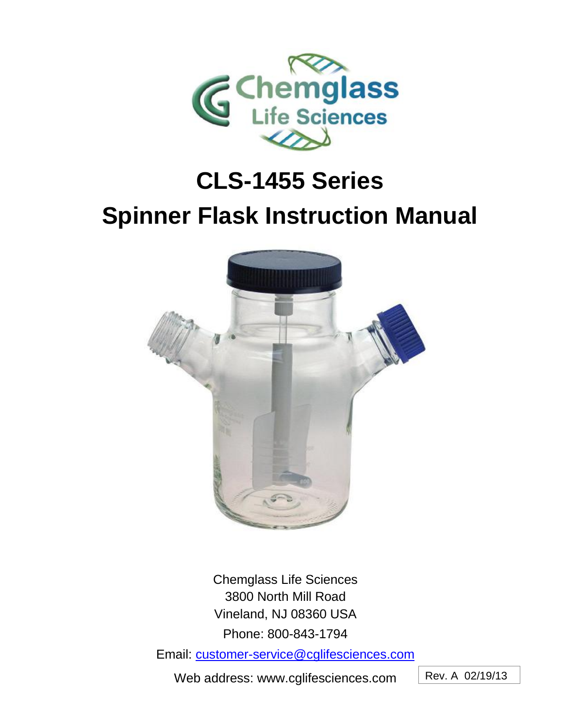

# **CLS-1455 Series Spinner Flask Instruction Manual**



Chemglass Life Sciences 3800 North Mill Road Vineland, NJ 08360 USA Phone: 800-843-1794

Email: [customer-service@cglifesciences.com](mailto:customer-service@cglifesciences.com)

Web address: www.cglifesciences.com

Rev. A 02/19/13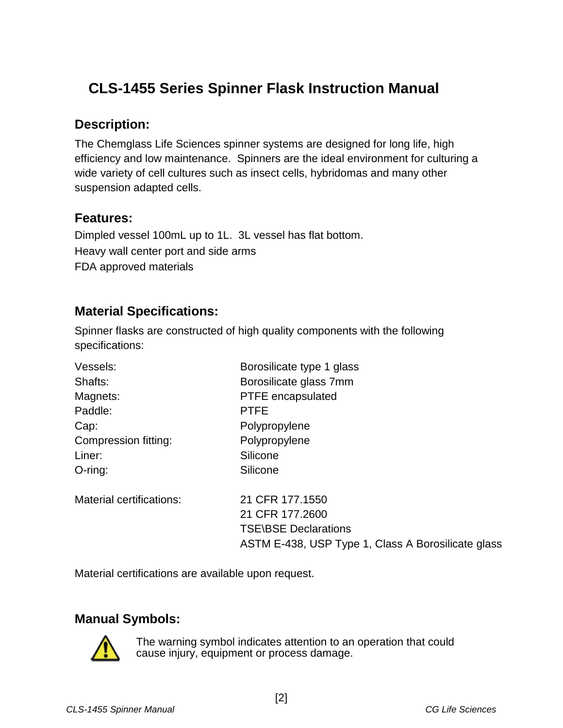## **CLS-1455 Series Spinner Flask Instruction Manual**

#### **Description:**

The Chemglass Life Sciences spinner systems are designed for long life, high efficiency and low maintenance. Spinners are the ideal environment for culturing a wide variety of cell cultures such as insect cells, hybridomas and many other suspension adapted cells.

#### **Features:**

Dimpled vessel 100mL up to 1L. 3L vessel has flat bottom. Heavy wall center port and side arms FDA approved materials

#### **Material Specifications:**

Spinner flasks are constructed of high quality components with the following specifications:

| Vessels:                 | Borosilicate type 1 glass                          |
|--------------------------|----------------------------------------------------|
| Shafts:                  | Borosilicate glass 7mm                             |
| Magnets:                 | <b>PTFE</b> encapsulated                           |
| Paddle:                  | <b>PTFE</b>                                        |
| Cap:                     | Polypropylene                                      |
| Compression fitting:     | Polypropylene                                      |
| Liner:                   | Silicone                                           |
| $O$ -ring:               | Silicone                                           |
| Material certifications: | 21 CFR 177.1550                                    |
|                          | 21 CFR 177,2600                                    |
|                          | <b>TSE\BSE Declarations</b>                        |
|                          | ASTM E-438, USP Type 1, Class A Borosilicate glass |
|                          |                                                    |

Material certifications are available upon request.

## **Manual Symbols:**



The warning symbol indicates attention to an operation that could cause injury, equipment or process damage.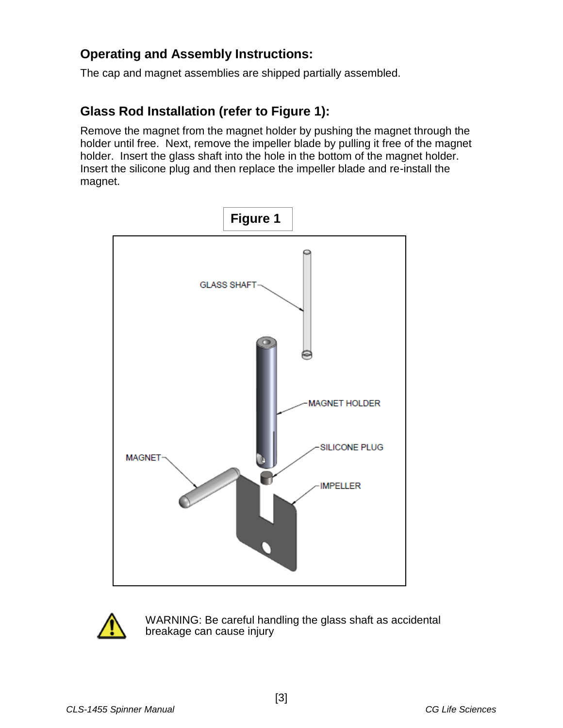#### **Operating and Assembly Instructions:**

The cap and magnet assemblies are shipped partially assembled.

#### **Glass Rod Installation (refer to Figure 1):**

Remove the magnet from the magnet holder by pushing the magnet through the holder until free. Next, remove the impeller blade by pulling it free of the magnet holder. Insert the glass shaft into the hole in the bottom of the magnet holder. Insert the silicone plug and then replace the impeller blade and re-install the magnet.





WARNING: Be careful handling the glass shaft as accidental breakage can cause injury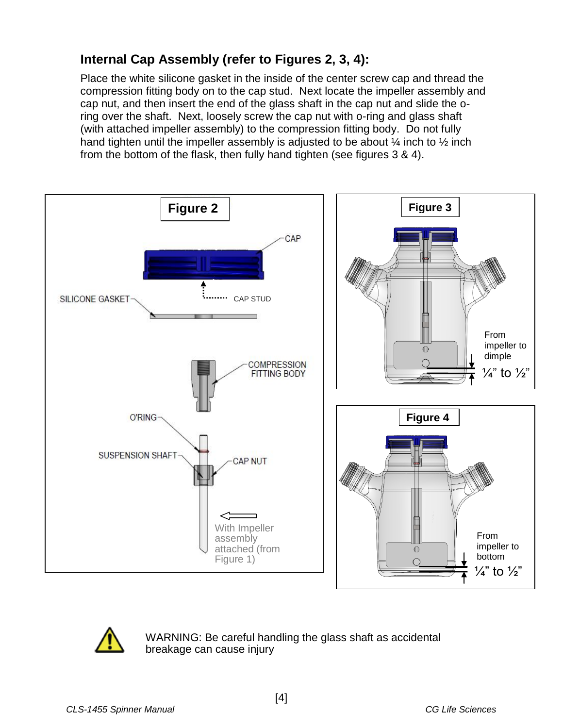## **Internal Cap Assembly (refer to Figures 2, 3, 4):**

Place the white silicone gasket in the inside of the center screw cap and thread the compression fitting body on to the cap stud. Next locate the impeller assembly and cap nut, and then insert the end of the glass shaft in the cap nut and slide the oring over the shaft. Next, loosely screw the cap nut with o-ring and glass shaft (with attached impeller assembly) to the compression fitting body. Do not fully hand tighten until the impeller assembly is adjusted to be about  $\frac{1}{4}$  inch to  $\frac{1}{2}$  inch from the bottom of the flask, then fully hand tighten (see figures 3 & 4).





WARNING: Be careful handling the glass shaft as accidental breakage can cause injury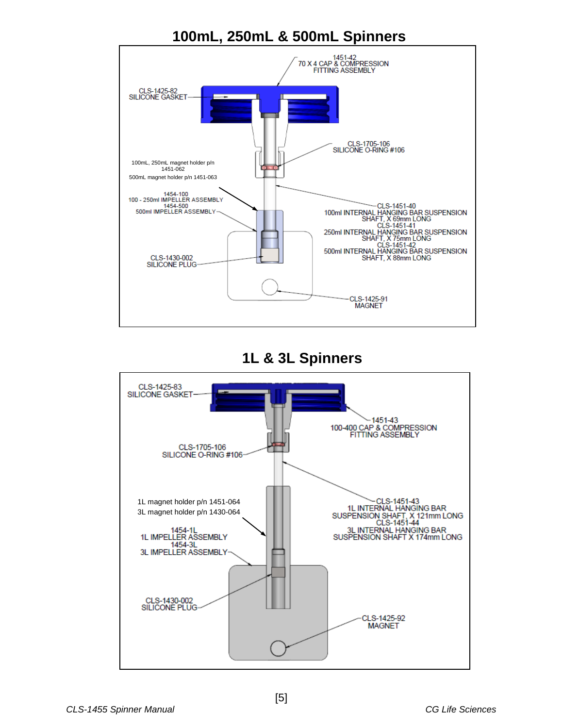



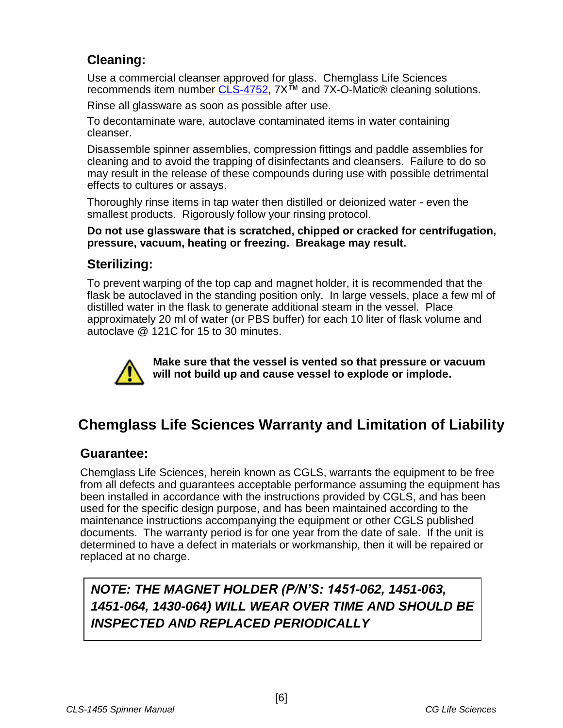### **Cleaning:**

Use a commercial cleanser approved for glass. Chemglass Life Sciences recommends item number [CLS-4752,](http://www.chemglass.com/product_view.asp?pnr=CLS-4752) 7X<sup>™</sup> and 7X-O-Matic® cleaning solutions.

Rinse all glassware as soon as possible after use.

To decontaminate ware, autoclave contaminated items in water containing cleanser.

Disassemble spinner assemblies, compression fittings and paddle assemblies for cleaning and to avoid the trapping of disinfectants and cleansers. Failure to do so may result in the release of these compounds during use with possible detrimental effects to cultures or assays.

Thoroughly rinse items in tap water then distilled or deionized water - even the smallest products. Rigorously follow your rinsing protocol.

**Do not use glassware that is scratched, chipped or cracked for centrifugation, pressure, vacuum, heating or freezing. Breakage may result.**

#### **Sterilizing:**

To prevent warping of the top cap and magnet holder, it is recommended that the flask be autoclaved in the standing position only. In large vessels, place a few ml of distilled water in the flask to generate additional steam in the vessel. Place approximately 20 ml of water (or PBS buffer) for each 10 liter of flask volume and autoclave @ 121C for 15 to 30 minutes.



**Make sure that the vessel is vented so that pressure or vacuum will not build up and cause vessel to explode or implode.**

## **Chemglass Life Sciences Warranty and Limitation of Liability**

#### **Guarantee:**

Chemglass Life Sciences, herein known as CGLS, warrants the equipment to be free from all defects and guarantees acceptable performance assuming the equipment has been installed in accordance with the instructions provided by CGLS, and has been used for the specific design purpose, and has been maintained according to the maintenance instructions accompanying the equipment or other CGLS published documents. The warranty period is for one year from the date of sale. If the unit is determined to have a defect in materials or workmanship, then it will be repaired or replaced at no charge.

*NOTE: THE MAGNET HOLDER (P/N'S: 1451-062, 1451-063, 1451-064, 1430-064) WILL WEAR OVER TIME AND SHOULD BE INSPECTED AND REPLACED PERIODICALLY*